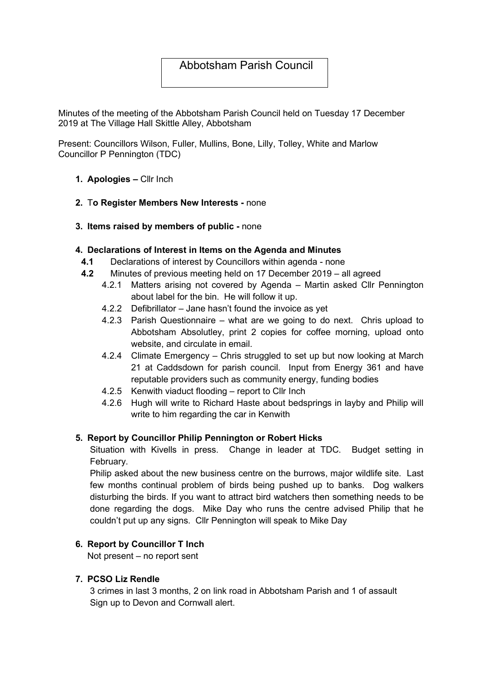# Abbotsham Parish Council

Minutes of the meeting of the Abbotsham Parish Council held on Tuesday 17 December 2019 at The Village Hall Skittle Alley, Abbotsham

Present: Councillors Wilson, Fuller, Mullins, Bone, Lilly, Tolley, White and Marlow Councillor P Pennington (TDC)

#### 1. Apologies – Cllr Inch

- 2. To Register Members New Interests none
- 3. Items raised by members of public none

#### 4. Declarations of Interest in Items on the Agenda and Minutes

- 4.1 Declarations of interest by Councillors within agenda none
- 4.2 Minutes of previous meeting held on 17 December 2019 all agreed
	- 4.2.1 Matters arising not covered by Agenda Martin asked Cllr Pennington about label for the bin. He will follow it up.
	- 4.2.2 Defibrillator Jane hasn't found the invoice as yet
	- 4.2.3 Parish Questionnaire what are we going to do next. Chris upload to Abbotsham Absolutley, print 2 copies for coffee morning, upload onto website, and circulate in email.
	- 4.2.4 Climate Emergency Chris struggled to set up but now looking at March 21 at Caddsdown for parish council. Input from Energy 361 and have reputable providers such as community energy, funding bodies
	- 4.2.5 Kenwith viaduct flooding report to Cllr Inch
	- 4.2.6 Hugh will write to Richard Haste about bedsprings in layby and Philip will write to him regarding the car in Kenwith

### 5. Report by Councillor Philip Pennington or Robert Hicks

Situation with Kivells in press. Change in leader at TDC. Budget setting in February.

Philip asked about the new business centre on the burrows, major wildlife site. Last few months continual problem of birds being pushed up to banks. Dog walkers disturbing the birds. If you want to attract bird watchers then something needs to be done regarding the dogs. Mike Day who runs the centre advised Philip that he couldn't put up any signs. Cllr Pennington will speak to Mike Day

### 6. Report by Councillor T Inch

Not present – no report sent

#### 7. PCSO Liz Rendle

3 crimes in last 3 months, 2 on link road in Abbotsham Parish and 1 of assault Sign up to Devon and Cornwall alert.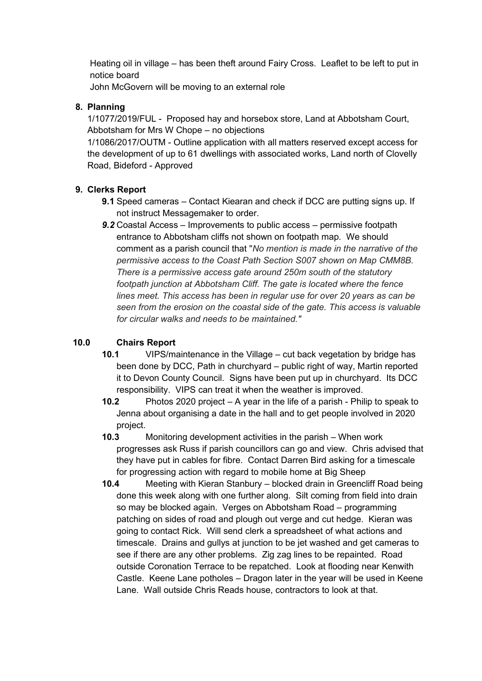Heating oil in village – has been theft around Fairy Cross. Leaflet to be left to put in notice board

John McGovern will be moving to an external role

### 8. Planning

1/1077/2019/FUL - Proposed hay and horsebox store, Land at Abbotsham Court, Abbotsham for Mrs W Chope – no objections

1/1086/2017/OUTM - Outline application with all matters reserved except access for the development of up to 61 dwellings with associated works, Land north of Clovelly Road, Bideford - Approved

### 9. Clerks Report

- 9.1 Speed cameras Contact Kiearan and check if DCC are putting signs up. If not instruct Messagemaker to order.
- 9.2 Coastal Access Improvements to public access permissive footpath entrance to Abbotsham cliffs not shown on footpath map. We should comment as a parish council that "No mention is made in the narrative of the permissive access to the Coast Path Section S007 shown on Map CMM8B. There is a permissive access gate around 250m south of the statutory footpath junction at Abbotsham Cliff. The gate is located where the fence lines meet. This access has been in regular use for over 20 years as can be seen from the erosion on the coastal side of the gate. This access is valuable for circular walks and needs to be maintained."

## 10.0 Chairs Report

- 10.1 VIPS/maintenance in the Village cut back vegetation by bridge has been done by DCC, Path in churchyard – public right of way, Martin reported it to Devon County Council. Signs have been put up in churchyard. Its DCC responsibility. VIPS can treat it when the weather is improved.
- 10.2 Photos 2020 project A year in the life of a parish Philip to speak to Jenna about organising a date in the hall and to get people involved in 2020 project.
- 10.3 Monitoring development activities in the parish When work progresses ask Russ if parish councillors can go and view. Chris advised that they have put in cables for fibre. Contact Darren Bird asking for a timescale for progressing action with regard to mobile home at Big Sheep
- 10.4 Meeting with Kieran Stanbury blocked drain in Greencliff Road being done this week along with one further along. Silt coming from field into drain so may be blocked again. Verges on Abbotsham Road – programming patching on sides of road and plough out verge and cut hedge. Kieran was going to contact Rick. Will send clerk a spreadsheet of what actions and timescale. Drains and gullys at junction to be jet washed and get cameras to see if there are any other problems. Zig zag lines to be repainted. Road outside Coronation Terrace to be repatched. Look at flooding near Kenwith Castle. Keene Lane potholes – Dragon later in the year will be used in Keene Lane. Wall outside Chris Reads house, contractors to look at that.